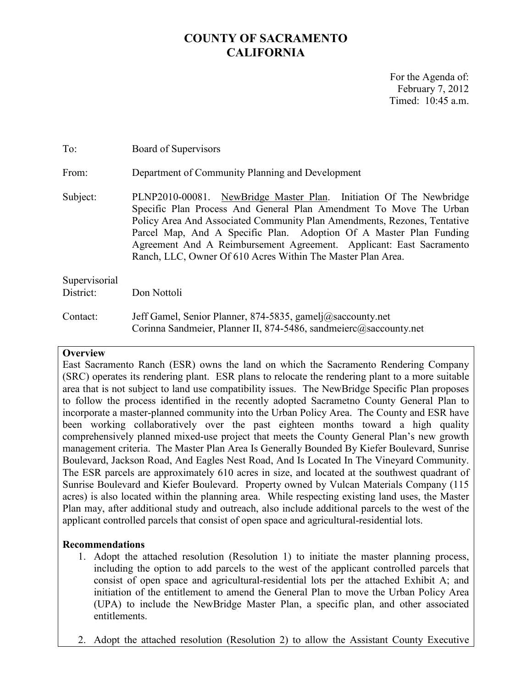# **COUNTY OF SACRAMENTO CALIFORNIA**

For the Agenda of: February 7, 2012 Timed: 10:45 a.m.

| To:                        | Board of Supervisors                                                                                                                                                                                                                                                                                                                                                                                                             |
|----------------------------|----------------------------------------------------------------------------------------------------------------------------------------------------------------------------------------------------------------------------------------------------------------------------------------------------------------------------------------------------------------------------------------------------------------------------------|
| From:                      | Department of Community Planning and Development                                                                                                                                                                                                                                                                                                                                                                                 |
| Subject:                   | PLNP2010-00081. NewBridge Master Plan. Initiation Of The Newbridge<br>Specific Plan Process And General Plan Amendment To Move The Urban<br>Policy Area And Associated Community Plan Amendments, Rezones, Tentative<br>Parcel Map, And A Specific Plan. Adoption Of A Master Plan Funding<br>Agreement And A Reimbursement Agreement. Applicant: East Sacramento<br>Ranch, LLC, Owner Of 610 Acres Within The Master Plan Area. |
| Supervisorial<br>District: | Don Nottoli                                                                                                                                                                                                                                                                                                                                                                                                                      |
| Contact:                   | Jeff Gamel, Senior Planner, 874-5835, gamelj@saccounty.net<br>Corinna Sandmeier, Planner II, 874-5486, sandmeierc@saccounty.net                                                                                                                                                                                                                                                                                                  |

#### **Overview**

East Sacramento Ranch (ESR) owns the land on which the Sacramento Rendering Company (SRC) operates its rendering plant. ESR plans to relocate the rendering plant to a more suitable area that is not subject to land use compatibility issues. The NewBridge Specific Plan proposes to follow the process identified in the recently adopted Sacrametno County General Plan to incorporate a master-planned community into the Urban Policy Area. The County and ESR have been working collaboratively over the past eighteen months toward a high quality comprehensively planned mixed-use project that meets the County General Plan's new growth management criteria. The Master Plan Area Is Generally Bounded By Kiefer Boulevard, Sunrise Boulevard, Jackson Road, And Eagles Nest Road, And Is Located In The Vineyard Community. The ESR parcels are approximately 610 acres in size, and located at the southwest quadrant of Sunrise Boulevard and Kiefer Boulevard. Property owned by Vulcan Materials Company (115 acres) is also located within the planning area. While respecting existing land uses, the Master Plan may, after additional study and outreach, also include additional parcels to the west of the applicant controlled parcels that consist of open space and agricultural-residential lots.

### **Recommendations**

- 1. Adopt the attached resolution (Resolution 1) to initiate the master planning process, including the option to add parcels to the west of the applicant controlled parcels that consist of open space and agricultural-residential lots per the attached Exhibit A; and initiation of the entitlement to amend the General Plan to move the Urban Policy Area (UPA) to include the NewBridge Master Plan, a specific plan, and other associated entitlements.
- 2. Adopt the attached resolution (Resolution 2) to allow the Assistant County Executive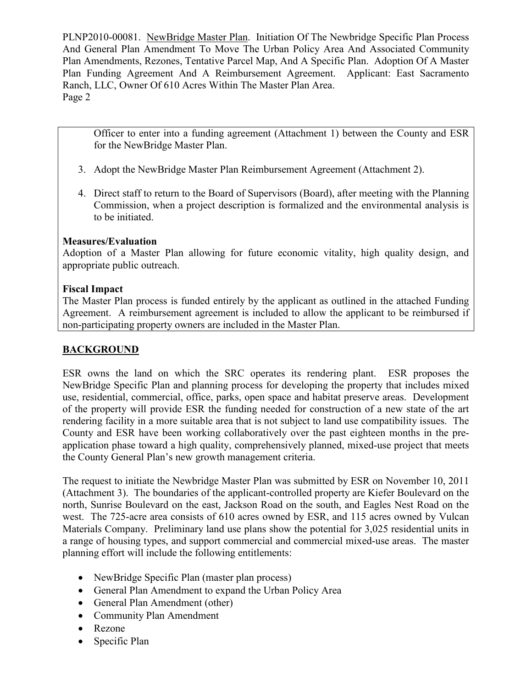Officer to enter into a funding agreement (Attachment 1) between the County and ESR for the NewBridge Master Plan.

- 3. Adopt the NewBridge Master Plan Reimbursement Agreement (Attachment 2).
- 4. Direct staff to return to the Board of Supervisors (Board), after meeting with the Planning Commission, when a project description is formalized and the environmental analysis is to be initiated.

## **Measures/Evaluation**

Adoption of a Master Plan allowing for future economic vitality, high quality design, and appropriate public outreach.

### **Fiscal Impact**

The Master Plan process is funded entirely by the applicant as outlined in the attached Funding Agreement. A reimbursement agreement is included to allow the applicant to be reimbursed if non-participating property owners are included in the Master Plan.

# **BACKGROUND**

ESR owns the land on which the SRC operates its rendering plant. ESR proposes the NewBridge Specific Plan and planning process for developing the property that includes mixed use, residential, commercial, office, parks, open space and habitat preserve areas. Development of the property will provide ESR the funding needed for construction of a new state of the art rendering facility in a more suitable area that is not subject to land use compatibility issues. The County and ESR have been working collaboratively over the past eighteen months in the preapplication phase toward a high quality, comprehensively planned, mixed-use project that meets the County General Plan's new growth management criteria.

The request to initiate the Newbridge Master Plan was submitted by ESR on November 10, 2011 (Attachment 3). The boundaries of the applicant-controlled property are Kiefer Boulevard on the north, Sunrise Boulevard on the east, Jackson Road on the south, and Eagles Nest Road on the west. The 725-acre area consists of 610 acres owned by ESR, and 115 acres owned by Vulcan Materials Company. Preliminary land use plans show the potential for 3,025 residential units in a range of housing types, and support commercial and commercial mixed-use areas. The master planning effort will include the following entitlements:

- NewBridge Specific Plan (master plan process)
- General Plan Amendment to expand the Urban Policy Area
- General Plan Amendment (other)
- Community Plan Amendment
- Rezone
- Specific Plan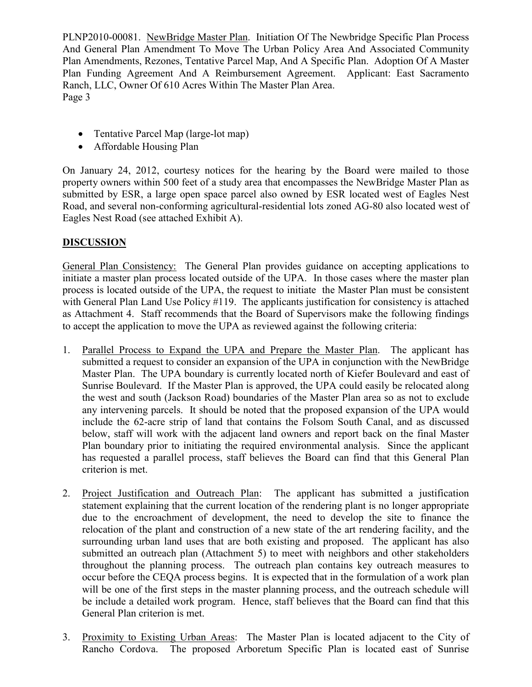- Tentative Parcel Map (large-lot map)
- Affordable Housing Plan

On January 24, 2012, courtesy notices for the hearing by the Board were mailed to those property owners within 500 feet of a study area that encompasses the NewBridge Master Plan as submitted by ESR, a large open space parcel also owned by ESR located west of Eagles Nest Road, and several non-conforming agricultural-residential lots zoned AG-80 also located west of Eagles Nest Road (see attached Exhibit A).

## **DISCUSSION**

General Plan Consistency: The General Plan provides guidance on accepting applications to initiate a master plan process located outside of the UPA. In those cases where the master plan process is located outside of the UPA, the request to initiate the Master Plan must be consistent with General Plan Land Use Policy #119. The applicants justification for consistency is attached as Attachment 4. Staff recommends that the Board of Supervisors make the following findings to accept the application to move the UPA as reviewed against the following criteria:

- 1. Parallel Process to Expand the UPA and Prepare the Master Plan. The applicant has submitted a request to consider an expansion of the UPA in conjunction with the NewBridge Master Plan. The UPA boundary is currently located north of Kiefer Boulevard and east of Sunrise Boulevard. If the Master Plan is approved, the UPA could easily be relocated along the west and south (Jackson Road) boundaries of the Master Plan area so as not to exclude any intervening parcels. It should be noted that the proposed expansion of the UPA would include the 62-acre strip of land that contains the Folsom South Canal, and as discussed below, staff will work with the adjacent land owners and report back on the final Master Plan boundary prior to initiating the required environmental analysis. Since the applicant has requested a parallel process, staff believes the Board can find that this General Plan criterion is met.
- 2. Project Justification and Outreach Plan: The applicant has submitted a justification statement explaining that the current location of the rendering plant is no longer appropriate due to the encroachment of development, the need to develop the site to finance the relocation of the plant and construction of a new state of the art rendering facility, and the surrounding urban land uses that are both existing and proposed. The applicant has also submitted an outreach plan (Attachment 5) to meet with neighbors and other stakeholders throughout the planning process. The outreach plan contains key outreach measures to occur before the CEQA process begins. It is expected that in the formulation of a work plan will be one of the first steps in the master planning process, and the outreach schedule will be include a detailed work program. Hence, staff believes that the Board can find that this General Plan criterion is met.
- 3. Proximity to Existing Urban Areas: The Master Plan is located adjacent to the City of Rancho Cordova. The proposed Arboretum Specific Plan is located east of Sunrise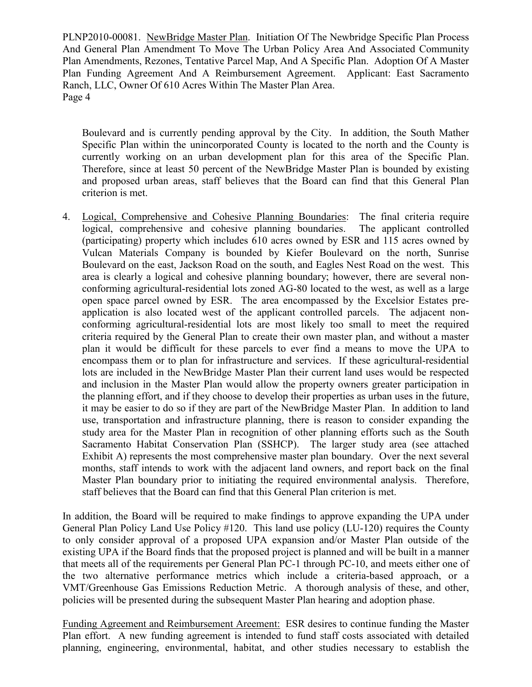Boulevard and is currently pending approval by the City. In addition, the South Mather Specific Plan within the unincorporated County is located to the north and the County is currently working on an urban development plan for this area of the Specific Plan. Therefore, since at least 50 percent of the NewBridge Master Plan is bounded by existing and proposed urban areas, staff believes that the Board can find that this General Plan criterion is met.

4. Logical, Comprehensive and Cohesive Planning Boundaries: The final criteria require logical, comprehensive and cohesive planning boundaries. The applicant controlled (participating) property which includes 610 acres owned by ESR and 115 acres owned by Vulcan Materials Company is bounded by Kiefer Boulevard on the north, Sunrise Boulevard on the east, Jackson Road on the south, and Eagles Nest Road on the west. This area is clearly a logical and cohesive planning boundary; however, there are several nonconforming agricultural-residential lots zoned AG-80 located to the west, as well as a large open space parcel owned by ESR. The area encompassed by the Excelsior Estates preapplication is also located west of the applicant controlled parcels. The adjacent nonconforming agricultural-residential lots are most likely too small to meet the required criteria required by the General Plan to create their own master plan, and without a master plan it would be difficult for these parcels to ever find a means to move the UPA to encompass them or to plan for infrastructure and services. If these agricultural-residential lots are included in the NewBridge Master Plan their current land uses would be respected and inclusion in the Master Plan would allow the property owners greater participation in the planning effort, and if they choose to develop their properties as urban uses in the future, it may be easier to do so if they are part of the NewBridge Master Plan. In addition to land use, transportation and infrastructure planning, there is reason to consider expanding the study area for the Master Plan in recognition of other planning efforts such as the South Sacramento Habitat Conservation Plan (SSHCP). The larger study area (see attached Exhibit A) represents the most comprehensive master plan boundary. Over the next several months, staff intends to work with the adjacent land owners, and report back on the final Master Plan boundary prior to initiating the required environmental analysis. Therefore, staff believes that the Board can find that this General Plan criterion is met.

In addition, the Board will be required to make findings to approve expanding the UPA under General Plan Policy Land Use Policy #120. This land use policy (LU-120) requires the County to only consider approval of a proposed UPA expansion and/or Master Plan outside of the existing UPA if the Board finds that the proposed project is planned and will be built in a manner that meets all of the requirements per General Plan PC-1 through PC-10, and meets either one of the two alternative performance metrics which include a criteria-based approach, or a VMT/Greenhouse Gas Emissions Reduction Metric. A thorough analysis of these, and other, policies will be presented during the subsequent Master Plan hearing and adoption phase.

Funding Agreement and Reimbursement Areement: ESR desires to continue funding the Master Plan effort. A new funding agreement is intended to fund staff costs associated with detailed planning, engineering, environmental, habitat, and other studies necessary to establish the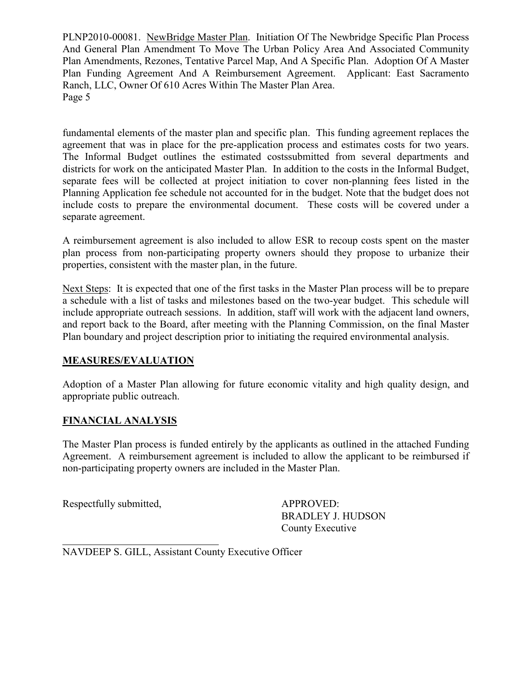fundamental elements of the master plan and specific plan. This funding agreement replaces the agreement that was in place for the pre-application process and estimates costs for two years. The Informal Budget outlines the estimated costssubmitted from several departments and districts for work on the anticipated Master Plan. In addition to the costs in the Informal Budget, separate fees will be collected at project initiation to cover non-planning fees listed in the Planning Application fee schedule not accounted for in the budget. Note that the budget does not include costs to prepare the environmental document. These costs will be covered under a separate agreement.

A reimbursement agreement is also included to allow ESR to recoup costs spent on the master plan process from non-participating property owners should they propose to urbanize their properties, consistent with the master plan, in the future.

Next Steps: It is expected that one of the first tasks in the Master Plan process will be to prepare a schedule with a list of tasks and milestones based on the two-year budget. This schedule will include appropriate outreach sessions. In addition, staff will work with the adjacent land owners, and report back to the Board, after meeting with the Planning Commission, on the final Master Plan boundary and project description prior to initiating the required environmental analysis.

### **MEASURES/EVALUATION**

Adoption of a Master Plan allowing for future economic vitality and high quality design, and appropriate public outreach.

### **FINANCIAL ANALYSIS**

The Master Plan process is funded entirely by the applicants as outlined in the attached Funding Agreement. A reimbursement agreement is included to allow the applicant to be reimbursed if non-participating property owners are included in the Master Plan.

Respectfully submitted,  $APPROVED:$ 

BRADLEY J. HUDSON County Executive

NAVDEEP S. GILL, Assistant County Executive Officer